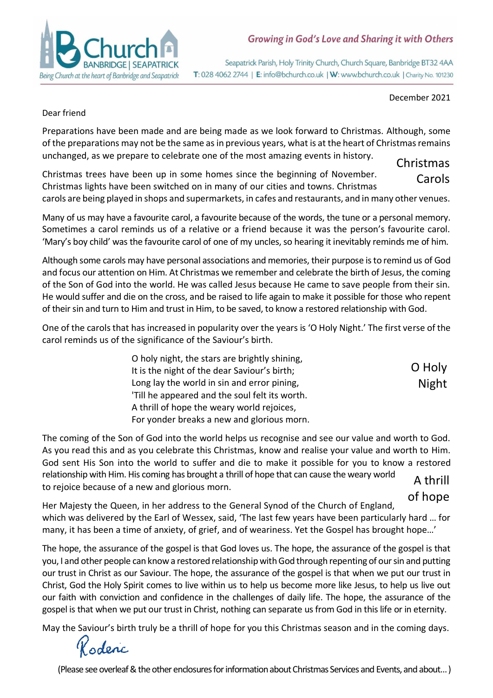

### Growing in God's Love and Sharing it with Others

Seapatrick Parish, Holy Trinity Church, Church Square, Banbridge BT32 4AA T: 028 4062 2744 | E: info@bchurch.co.uk | W: www.bchurch.co.uk | Charity No. 101230

December 2021

O Holy Night

#### Dear friend

Preparations have been made and are being made as we look forward to Christmas. Although, some of the preparations may not be the same as in previous years, what is at the heart of Christmas remains unchanged, as we prepare to celebrate one of the most amazing events in history. Christmas

Christmas trees have been up in some homes since the beginning of November. Christmas lights have been switched on in many of our cities and towns. Christmas carols are being played in shops and supermarkets, in cafes and restaurants, and in many other venues. Carols

Many of us may have a favourite carol, a favourite because of the words, the tune or a personal memory. Sometimes a carol reminds us of a relative or a friend because it was the person's favourite carol. 'Mary's boy child' was the favourite carol of one of my uncles, so hearing it inevitably reminds me of him.

Although some carols may have personal associations and memories, their purpose is to remind us of God and focus our attention on Him. At Christmas we remember and celebrate the birth of Jesus, the coming of the Son of God into the world. He was called Jesus because He came to save people from their sin. He would suffer and die on the cross, and be raised to life again to make it possible for those who repent of their sin and turn to Him and trust in Him, to be saved, to know a restored relationship with God.

One of the carols that has increased in popularity over the years is 'O Holy Night.' The first verse of the carol reminds us of the significance of the Saviour's birth.

> O holy night, the stars are brightly shining, It is the night of the dear Saviour's birth; Long lay the world in sin and error pining, 'Till he appeared and the soul felt its worth. A thrill of hope the weary world rejoices, For yonder breaks a new and glorious morn.

The coming of the Son of God into the world helps us recognise and see our value and worth to God. As you read this and as you celebrate this Christmas, know and realise your value and worth to Him. God sent His Son into the world to suffer and die to make it possible for you to know a restored relationship with Him. His coming has brought a thrill of hope that can cause the weary world to rejoice because of a new and glorious morn. A thrill

Her Majesty the Queen, in her address to the General Synod of the Church of England, which was delivered by the Earl of Wessex, said, 'The last few years have been particularly hard … for many, it has been a time of anxiety, of grief, and of weariness. Yet the Gospel has brought hope…' of hope

The hope, the assurance of the gospel is that God loves us. The hope, the assurance of the gospel is that you, I and other people can know a restored relationship with God through repenting of our sin and putting our trust in Christ as our Saviour. The hope, the assurance of the gospel is that when we put our trust in Christ, God the Holy Spirit comes to live within us to help us become more like Jesus, to help us live out our faith with conviction and confidence in the challenges of daily life. The hope, the assurance of the gospel is that when we put our trust in Christ, nothing can separate us from God in this life or in eternity.

May the Saviour's birth truly be a thrill of hope for you this Christmas season and in the coming days.

oderic